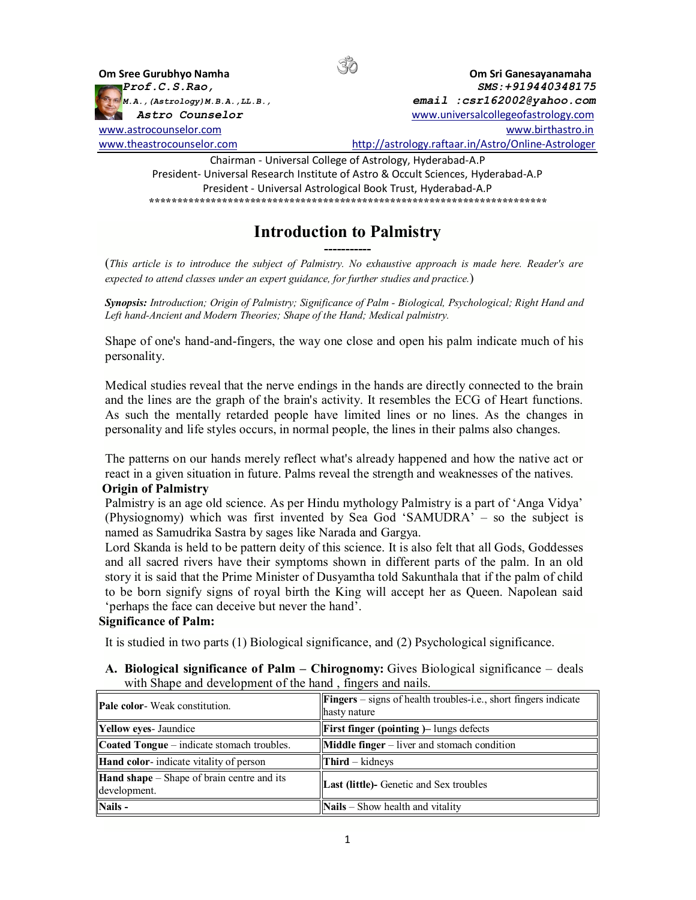

President- Universal Research Institute of Astro & Occult Sciences, Hyderabad-A.P President - Universal Astrological Book Trust, Hyderabad-A.P *\*\*\*\*\*\*\*\*\*\*\*\*\*\*\*\*\*\*\*\*\*\*\*\*\*\*\*\*\*\*\*\*\*\*\*\*\*\*\*\*\*\*\*\*\*\*\*\*\*\*\*\*\*\*\*\*\*\*\*\*\*\*\*\*\*\*\*\*\*\*\** 

## **Introduction to Palmistry -----------**

(*This article is to introduce the subject of Palmistry. No exhaustive approach is made here. Reader's are expected to attend classes under an expert guidance, for further studies and practice.*)

*Synopsis: Introduction; Origin of Palmistry; Significance of Palm - Biological, Psychological; Right Hand and Left hand-Ancient and Modern Theories; Shape of the Hand; Medical palmistry.*

Shape of one's hand-and-fingers, the way one close and open his palm indicate much of his personality.

Medical studies reveal that the nerve endings in the hands are directly connected to the brain and the lines are the graph of the brain's activity. It resembles the ECG of Heart functions. As such the mentally retarded people have limited lines or no lines. As the changes in personality and life styles occurs, in normal people, the lines in their palms also changes.

The patterns on our hands merely reflect what's already happened and how the native act or react in a given situation in future. Palms reveal the strength and weaknesses of the natives. **Origin of Palmistry**

Palmistry is an age old science. As per Hindu mythology Palmistry is a part of 'Anga Vidya' (Physiognomy) which was first invented by Sea God 'SAMUDRA' – so the subject is named as Samudrika Sastra by sages like Narada and Gargya.

Lord Skanda is held to be pattern deity of this science. It is also felt that all Gods, Goddesses and all sacred rivers have their symptoms shown in different parts of the palm. In an old story it is said that the Prime Minister of Dusyamtha told Sakunthala that if the palm of child to be born signify signs of royal birth the King will accept her as Queen. Napolean said 'perhaps the face can deceive but never the hand'.

## **Significance of Palm:**

It is studied in two parts (1) Biological significance, and (2) Psychological significance.

**A. Biological significance of Palm – Chirognomy:** Gives Biological significance – deals with Shape and development of the hand , fingers and nails.

| <b>Pale color-</b> Weak constitution.                             | <b>Fingers</b> – signs of health troubles-i.e., short fingers indicate<br>hasty nature |
|-------------------------------------------------------------------|----------------------------------------------------------------------------------------|
| Yellow eyes- Jaundice                                             | <b>First finger (pointing )–</b> lungs defects                                         |
| <b>Coated Tongue</b> – indicate stomach troubles.                 | <b>Middle finger</b> $-$ liver and stomach condition                                   |
| Hand color-indicate vitality of person                            | $Third - kidneys$                                                                      |
| <b>Hand shape</b> – Shape of brain centre and its<br>development. | <b>Last (little)</b> - Genetic and Sex troubles                                        |
| Nails -                                                           | $\Delta$ Nails – Show health and vitality                                              |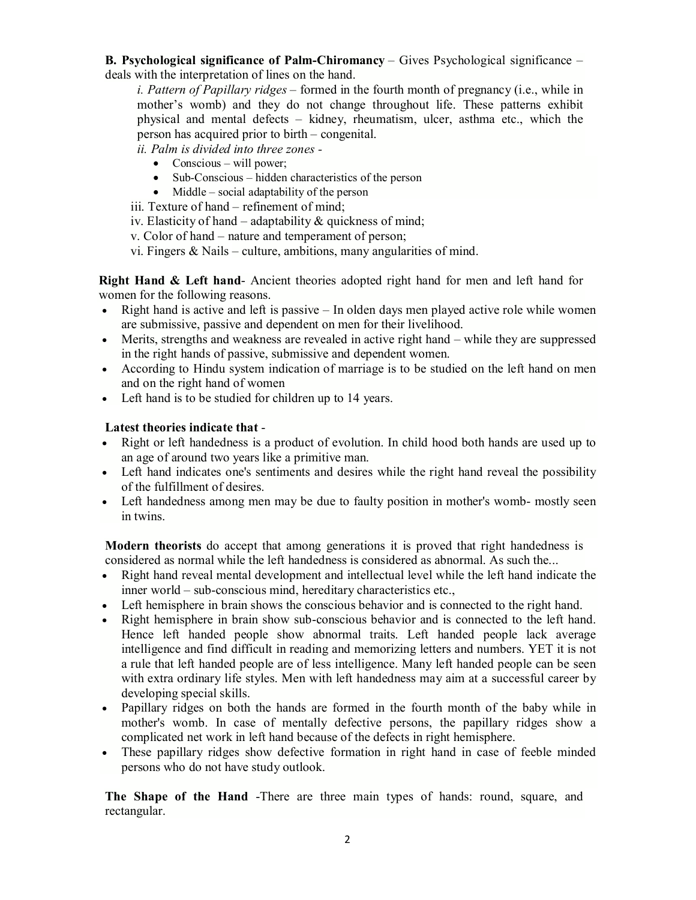**B. Psychological significance of Palm-Chiromancy** – Gives Psychological significance – deals with the interpretation of lines on the hand.

*i. Pattern of Papillary ridges* – formed in the fourth month of pregnancy (i.e., while in mother's womb) and they do not change throughout life. These patterns exhibit physical and mental defects – kidney, rheumatism, ulcer, asthma etc., which the person has acquired prior to birth – congenital.

*ii. Palm is divided into three zones -*

- $\bullet$  Conscious will power;
- Sub-Conscious hidden characteristics of the person
- $\bullet$  Middle social adaptability of the person

iii. Texture of hand – refinement of mind;

iv. Elasticity of hand – adaptability & quickness of mind;

v. Color of hand – nature and temperament of person;

vi. Fingers & Nails – culture, ambitions, many angularities of mind.

**Right Hand & Left hand**- Ancient theories adopted right hand for men and left hand for women for the following reasons.

- $\bullet$  Right hand is active and left is passive In olden days men played active role while women are submissive, passive and dependent on men for their livelihood.
- Merits, strengths and weakness are revealed in active right hand while they are suppressed in the right hands of passive, submissive and dependent women.
- According to Hindu system indication of marriage is to be studied on the left hand on men and on the right hand of women
- Left hand is to be studied for children up to 14 years.

## **Latest theories indicate that** -

- Right or left handedness is a product of evolution. In child hood both hands are used up to an age of around two years like a primitive man.
- Left hand indicates one's sentiments and desires while the right hand reveal the possibility of the fulfillment of desires.
- Left handedness among men may be due to faulty position in mother's womb- mostly seen in twins.

**Modern theorists** do accept that among generations it is proved that right handedness is considered as normal while the left handedness is considered as abnormal. As such the...

- Right hand reveal mental development and intellectual level while the left hand indicate the inner world – sub-conscious mind, hereditary characteristics etc.,
- Left hemisphere in brain shows the conscious behavior and is connected to the right hand.
- Right hemisphere in brain show sub-conscious behavior and is connected to the left hand. Hence left handed people show abnormal traits. Left handed people lack average intelligence and find difficult in reading and memorizing letters and numbers. YET it is not a rule that left handed people are of less intelligence. Many left handed people can be seen with extra ordinary life styles. Men with left handedness may aim at a successful career by developing special skills.
- Papillary ridges on both the hands are formed in the fourth month of the baby while in mother's womb. In case of mentally defective persons, the papillary ridges show a complicated net work in left hand because of the defects in right hemisphere.
- These papillary ridges show defective formation in right hand in case of feeble minded persons who do not have study outlook.

**The Shape of the Hand** -There are three main types of hands: round, square, and rectangular.